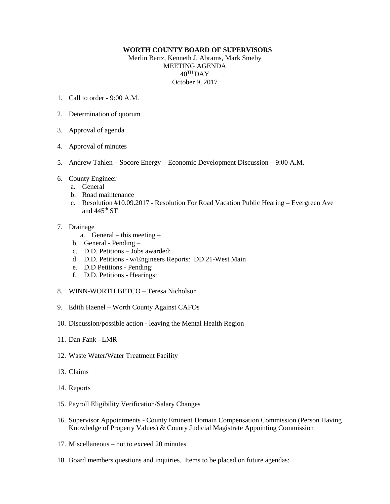## **WORTH COUNTY BOARD OF SUPERVISORS**

Merlin Bartz, Kenneth J. Abrams, Mark Smeby MEETING AGENDA  $40^{\text{TH}}$ DAY October 9, 2017

- 1. Call to order 9:00 A.M.
- 2. Determination of quorum
- 3. Approval of agenda
- 4. Approval of minutes
- 5. Andrew Tahlen Socore Energy Economic Development Discussion 9:00 A.M.
- 6. County Engineer
	- a. General
	- b. Road maintenance
	- c. Resolution #10.09.2017 Resolution For Road Vacation Public Hearing Evergreen Ave and 445<sup>th</sup> ST
- 7. Drainage
	- a. General this meeting –
	- b. General Pending –
	- c. D.D. Petitions Jobs awarded:
	- d. D.D. Petitions w/Engineers Reports: DD 21-West Main
	- e. D.D Petitions Pending:
	- f. D.D. Petitions Hearings:
- 8. WINN-WORTH BETCO Teresa Nicholson
- 9. Edith Haenel Worth County Against CAFOs
- 10. Discussion/possible action leaving the Mental Health Region
- 11. Dan Fank LMR
- 12. Waste Water/Water Treatment Facility
- 13. Claims
- 14. Reports
- 15. Payroll Eligibility Verification/Salary Changes
- 16. Supervisor Appointments County Eminent Domain Compensation Commission (Person Having Knowledge of Property Values) & County Judicial Magistrate Appointing Commission
- 17. Miscellaneous not to exceed 20 minutes
- 18. Board members questions and inquiries. Items to be placed on future agendas: